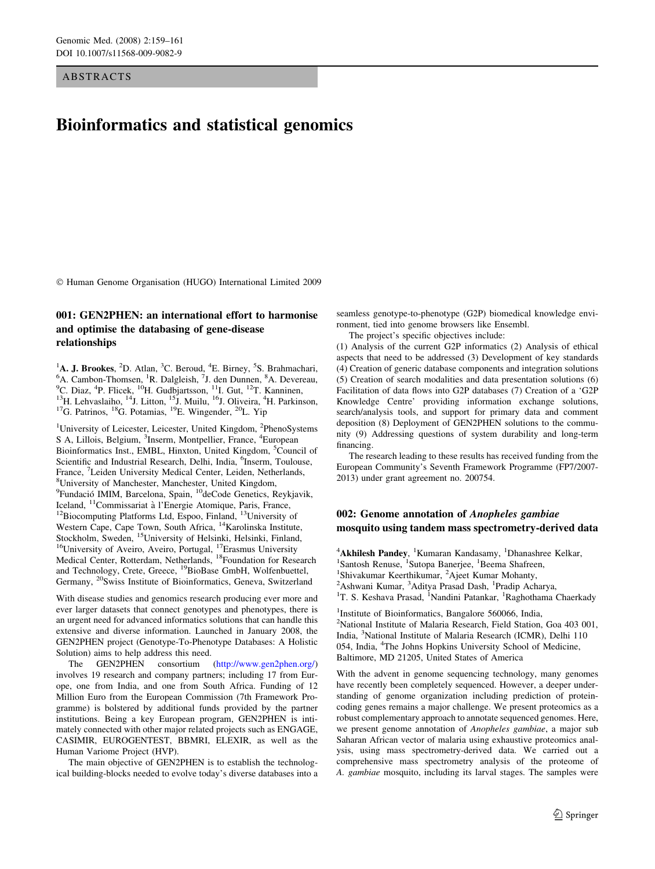ABSTRACTS

# Bioinformatics and statistical genomics

Human Genome Organisation (HUGO) International Limited 2009

## 001: GEN2PHEN: an international effort to harmonise and optimise the databasing of gene-disease relationships

<sup>1</sup>A. **J. Brookes**, <sup>2</sup>D. Atlan, <sup>3</sup>C. Beroud, <sup>4</sup>E. Birney, <sup>5</sup>S. Brahmachari, <sup>6</sup>A. Cambon Thomson, <sup>1</sup>P. Dalglaish, <sup>7</sup>L dan Dunnan, <sup>8</sup>A. Deverseu A. Cambon-Thomsen, <sup>1</sup>R. Dalgleish, <sup>7</sup>J. den Dunnen, <sup>8</sup> <sup>o</sup>A. Cambon-Thomsen, <sup>1</sup>R. Dalgleish, <sup>1</sup>J. den Dunnen, <sup>8</sup>A. Devereau, <sup>9</sup>C. Diaz, <sup>4</sup>P. Flicek, <sup>10</sup>H. Gudbjartsson, <sup>11</sup>I. Gut, <sup>12</sup>T. Kanninen, <sup>13</sup>H. Lehvaslaiho, <sup>14</sup>J. Litton, <sup>15</sup>J. Muilu, <sup>16</sup>J. Oliveira, <sup>4</sup>H. P <sup>13</sup>H. Lehvaslaiho, <sup>14</sup>J. Litton, <sup>15</sup>J. Muilu, <sup>16</sup>J. Oliveira, <sup>4</sup>H. Parkinson, <sup>17</sup>G. Patrinos, <sup>18</sup>G. Potamias, <sup>19</sup>E. Wingender, <sup>20</sup>L. Yip

<sup>1</sup>University of Leicester, Leicester, United Kingdom, <sup>2</sup>PhenoSystems S A, Lillois, Belgium, <sup>3</sup>Inserm, Montpellier, France, <sup>4</sup>European Bioinformatics Inst., EMBL, Hinxton, United Kingdom, <sup>5</sup>Council of Scientific and Industrial Research, Delhi, India, <sup>6</sup>Inserm, Toulouse, France, <sup>7</sup>Leiden University Medical Center, Leiden, Netherlands, <sup>8</sup>University of Manchester, Manchester, United Kingdom University of Manchester, Manchester, United Kingdom, <sup>9</sup>Fundació IMIM, Barcelona, Spain, <sup>10</sup>deCode Genetics, Reykjavik, Iceland, <sup>11</sup>Commissariat à l'Energie Atomique, Paris, France, <sup>12</sup>Biocomputing Platforms Ltd, Espoo, Finland, <sup>13</sup>University of Western Cape, Cape Town, South Africa, <sup>14</sup>Karolinska Institute, Stockholm, Sweden, <sup>15</sup>University of Helsinki, Helsinki, Finland, <sup>16</sup>University of Aveiro, Aveiro, Portugal, <sup>17</sup>Erasmus University Medical Center, Rotterdam, Netherlands, <sup>18</sup>Foundation for Research and Technology, Crete, Greece, <sup>19</sup>BioBase GmbH, Wolfenbuettel, Germany, 20Swiss Institute of Bioinformatics, Geneva, Switzerland

With disease studies and genomics research producing ever more and ever larger datasets that connect genotypes and phenotypes, there is an urgent need for advanced informatics solutions that can handle this extensive and diverse information. Launched in January 2008, the GEN2PHEN project (Genotype-To-Phenotype Databases: A Holistic Solution) aims to help address this need.

The GEN2PHEN consortium (<http://www.gen2phen.org/>) involves 19 research and company partners; including 17 from Europe, one from India, and one from South Africa. Funding of 12 Million Euro from the European Commission (7th Framework Programme) is bolstered by additional funds provided by the partner institutions. Being a key European program, GEN2PHEN is intimately connected with other major related projects such as ENGAGE, CASIMIR, EUROGENTEST, BBMRI, ELEXIR, as well as the Human Variome Project (HVP).

The main objective of GEN2PHEN is to establish the technological building-blocks needed to evolve today's diverse databases into a seamless genotype-to-phenotype (G2P) biomedical knowledge environment, tied into genome browsers like Ensembl.

The project's specific objectives include:

(1) Analysis of the current G2P informatics (2) Analysis of ethical aspects that need to be addressed (3) Development of key standards (4) Creation of generic database components and integration solutions (5) Creation of search modalities and data presentation solutions (6) Facilitation of data flows into G2P databases (7) Creation of a 'G2P Knowledge Centre' providing information exchange solutions, search/analysis tools, and support for primary data and comment deposition (8) Deployment of GEN2PHEN solutions to the community (9) Addressing questions of system durability and long-term financing.

The research leading to these results has received funding from the European Community's Seventh Framework Programme (FP7/2007- 2013) under grant agreement no. 200754.

## 002: Genome annotation of Anopheles gambiae mosquito using tandem mass spectrometry-derived data

 ${}^{4}$ Akhilesh Pandey,  ${}^{1}$ Kumaran Kandasamy,  ${}^{1}$ Dhanashree Kelkar, <sup>1</sup>Santosh Renuse, <sup>1</sup>Sutopa Banerjee, <sup>1</sup>Beema Shafreen, <sup>1</sup>Shivakumar Keerthikumar, <sup>2</sup>Ajaat Kumar Mohanty <sup>1</sup>Shivakumar Keerthikumar, <sup>2</sup>Ajeet Kumar Mohanty, <sup>2</sup>Ashwani Kumar, <sup>3</sup>Aditya Praad Dash, <sup>1</sup>Pradin Ash <sup>2</sup> Ashwani Kumar, <sup>3</sup> Aditya Prasad Dash, <sup>1</sup> Pradip Acharya, T. S. Keshava Prasad, <sup>1</sup>Nandini Patankar, <sup>1</sup>Raghothama Chaerkady

<sup>1</sup>Institute of Bioinformatics, Bangalore 560066, India, 2 National Institute of Malaria Research, Field Station, Goa 403 001, India, <sup>3</sup> National Institute of Malaria Research (ICMR), Delhi 110 054, India, <sup>4</sup>The Johns Hopkins University School of Medicine, Baltimore, MD 21205, United States of America

With the advent in genome sequencing technology, many genomes have recently been completely sequenced. However, a deeper understanding of genome organization including prediction of proteincoding genes remains a major challenge. We present proteomics as a robust complementary approach to annotate sequenced genomes. Here, we present genome annotation of Anopheles gambiae, a major sub Saharan African vector of malaria using exhaustive proteomics analysis, using mass spectrometry-derived data. We carried out a comprehensive mass spectrometry analysis of the proteome of A. gambiae mosquito, including its larval stages. The samples were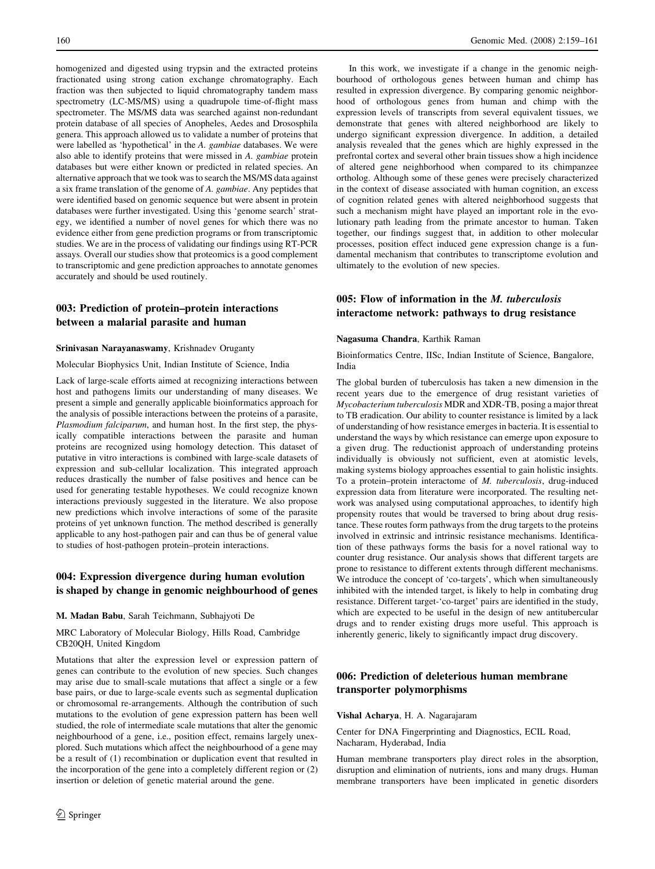homogenized and digested using trypsin and the extracted proteins fractionated using strong cation exchange chromatography. Each fraction was then subjected to liquid chromatography tandem mass spectrometry (LC-MS/MS) using a quadrupole time-of-flight mass spectrometer. The MS/MS data was searched against non-redundant protein database of all species of Anopheles, Aedes and Drososphila genera. This approach allowed us to validate a number of proteins that were labelled as 'hypothetical' in the A. gambiae databases. We were also able to identify proteins that were missed in A. gambiae protein databases but were either known or predicted in related species. An alternative approach that we took was to search the MS/MS data against a six frame translation of the genome of A. gambiae. Any peptides that were identified based on genomic sequence but were absent in protein databases were further investigated. Using this 'genome search' strategy, we identified a number of novel genes for which there was no evidence either from gene prediction programs or from transcriptomic studies. We are in the process of validating our findings using RT-PCR assays. Overall our studies show that proteomics is a good complement to transcriptomic and gene prediction approaches to annotate genomes accurately and should be used routinely.

## 003: Prediction of protein–protein interactions between a malarial parasite and human

#### Srinivasan Narayanaswamy, Krishnadev Oruganty

Molecular Biophysics Unit, Indian Institute of Science, India

Lack of large-scale efforts aimed at recognizing interactions between host and pathogens limits our understanding of many diseases. We present a simple and generally applicable bioinformatics approach for the analysis of possible interactions between the proteins of a parasite, Plasmodium falciparum, and human host. In the first step, the physically compatible interactions between the parasite and human proteins are recognized using homology detection. This dataset of putative in vitro interactions is combined with large-scale datasets of expression and sub-cellular localization. This integrated approach reduces drastically the number of false positives and hence can be used for generating testable hypotheses. We could recognize known interactions previously suggested in the literature. We also propose new predictions which involve interactions of some of the parasite proteins of yet unknown function. The method described is generally applicable to any host-pathogen pair and can thus be of general value to studies of host-pathogen protein–protein interactions.

## 004: Expression divergence during human evolution is shaped by change in genomic neighbourhood of genes

### M. Madan Babu, Sarah Teichmann, Subhajyoti De

#### MRC Laboratory of Molecular Biology, Hills Road, Cambridge CB20QH, United Kingdom

Mutations that alter the expression level or expression pattern of genes can contribute to the evolution of new species. Such changes may arise due to small-scale mutations that affect a single or a few base pairs, or due to large-scale events such as segmental duplication or chromosomal re-arrangements. Although the contribution of such mutations to the evolution of gene expression pattern has been well studied, the role of intermediate scale mutations that alter the genomic neighbourhood of a gene, i.e., position effect, remains largely unexplored. Such mutations which affect the neighbourhood of a gene may be a result of (1) recombination or duplication event that resulted in the incorporation of the gene into a completely different region or (2) insertion or deletion of genetic material around the gene.

In this work, we investigate if a change in the genomic neighbourhood of orthologous genes between human and chimp has resulted in expression divergence. By comparing genomic neighborhood of orthologous genes from human and chimp with the expression levels of transcripts from several equivalent tissues, we demonstrate that genes with altered neighborhood are likely to undergo significant expression divergence. In addition, a detailed analysis revealed that the genes which are highly expressed in the prefrontal cortex and several other brain tissues show a high incidence of altered gene neighborhood when compared to its chimpanzee ortholog. Although some of these genes were precisely characterized in the context of disease associated with human cognition, an excess of cognition related genes with altered neighborhood suggests that such a mechanism might have played an important role in the evolutionary path leading from the primate ancestor to human. Taken together, our findings suggest that, in addition to other molecular processes, position effect induced gene expression change is a fundamental mechanism that contributes to transcriptome evolution and ultimately to the evolution of new species.

## 005: Flow of information in the M. tuberculosis interactome network: pathways to drug resistance

#### Nagasuma Chandra, Karthik Raman

Bioinformatics Centre, IISc, Indian Institute of Science, Bangalore, India

The global burden of tuberculosis has taken a new dimension in the recent years due to the emergence of drug resistant varieties of Mycobacterium tuberculosis MDR and XDR-TB, posing a major threat to TB eradication. Our ability to counter resistance is limited by a lack of understanding of how resistance emerges in bacteria. It is essential to understand the ways by which resistance can emerge upon exposure to a given drug. The reductionist approach of understanding proteins individually is obviously not sufficient, even at atomistic levels, making systems biology approaches essential to gain holistic insights. To a protein–protein interactome of M. tuberculosis, drug-induced expression data from literature were incorporated. The resulting network was analysed using computational approaches, to identify high propensity routes that would be traversed to bring about drug resistance. These routes form pathways from the drug targets to the proteins involved in extrinsic and intrinsic resistance mechanisms. Identification of these pathways forms the basis for a novel rational way to counter drug resistance. Our analysis shows that different targets are prone to resistance to different extents through different mechanisms. We introduce the concept of 'co-targets', which when simultaneously inhibited with the intended target, is likely to help in combating drug resistance. Different target-'co-target' pairs are identified in the study, which are expected to be useful in the design of new antitubercular drugs and to render existing drugs more useful. This approach is inherently generic, likely to significantly impact drug discovery.

## 006: Prediction of deleterious human membrane transporter polymorphisms

### Vishal Acharya, H. A. Nagarajaram

Center for DNA Fingerprinting and Diagnostics, ECIL Road, Nacharam, Hyderabad, India

Human membrane transporters play direct roles in the absorption, disruption and elimination of nutrients, ions and many drugs. Human membrane transporters have been implicated in genetic disorders